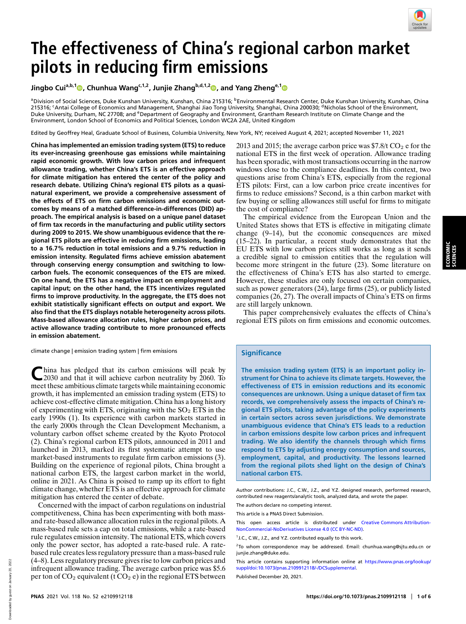

# **The effectiveness of China's regional carbon market pilots in reducing firm emissions**

**Jingbo Cuia,b,[1](http://orcid.org/0000-0001-5951-8953) , Chunhua Wangc,1,2, Junjie Zhangb,d,1,[2](http://orcid.org/0000-0002-0716-3828) , and Yang Zhenge,[1](http://orcid.org/0000-0003-4259-1542)**

<sup>a</sup>Division of Social Sciences, Duke Kunshan University, Kunshan, China 215316; <sup>b</sup>Environmental Research Center, Duke Kunshan University, Kunshan, China 215316; <sup>c</sup>Antai College of Economics and Management, Shanghai Jiao Tong University, Shanghai, China 200030; <sup>d</sup>Nicholas School of the Environment, Duke University, Durham, NC 27708; and <sup>e</sup>Department of Geography and Environment, Grantham Research Institute on Climate Change and the Environment, London School of Economics and Political Sciences, London WC2A 2AE, United Kingdom

Edited by Geoffrey Heal, Graduate School of Business, Columbia University, New York, NY; received August 4, 2021; accepted November 11, 2021

**China has implemented an emission trading system (ETS) to reduce its ever-increasing greenhouse gas emissions while maintaining rapid economic growth. With low carbon prices and infrequent allowance trading, whether China's ETS is an effective approach for climate mitigation has entered the center of the policy and research debate. Utilizing China's regional ETS pilots as a quasinatural experiment, we provide a comprehensive assessment of the effects of ETS on firm carbon emissions and economic outcomes by means of a matched difference-in-differences (DID) approach. The empirical analysis is based on a unique panel dataset of firm tax records in the manufacturing and public utility sectors during 2009 to 2015. We show unambiguous evidence that the regional ETS pilots are effective in reducing firm emissions, leading to a 16.7% reduction in total emissions and a 9.7% reduction in emission intensity. Regulated firms achieve emission abatement through conserving energy consumption and switching to lowcarbon fuels. The economic consequences of the ETS are mixed. On one hand, the ETS has a negative impact on employment and capital input; on the other hand, the ETS incentivizes regulated firms to improve productivity. In the aggregate, the ETS does not exhibit statistically significant effects on output and export. We also find that the ETS displays notable heterogeneity across pilots. Mass-based allowance allocation rules, higher carbon prices, and active allowance trading contribute to more pronounced effects in emission abatement.**

climate change | emission trading system | firm emissions

**C**hina has pledged that its carbon emissions will peak by 2030 and that it will achieve carbon neutrality by 2060. To meet these ambitious climate targets while maintaining economic growth, it has implemented an emission trading system (ETS) to achieve cost-effective climate mitigation. China has a long history of experimenting with ETS, originating with the  $SO<sub>2</sub> ETS$  in the early 1990s (1). Its experience with carbon markets started in the early 2000s through the Clean Development Mechanism, a voluntary carbon offset scheme created by the Kyoto Protocol (2). China's regional carbon ETS pilots, announced in 2011 and launched in 2013, marked its first systematic attempt to use market-based instruments to regulate firm carbon emissions (3). Building on the experience of regional pilots, China brought a national carbon ETS, the largest carbon market in the world, online in 2021. As China is poised to ramp up its effort to fight climate change, whether ETS is an effective approach for climate mitigation has entered the center of debate.

Concerned with the impact of carbon regulations on industrial competitiveness, China has been experimenting with both massand rate-based allowance allocation rules in the regional pilots. A mass-based rule sets a cap on total emissions, while a rate-based rule regulates emission intensity. The national ETS, which covers only the power sector, has adopted a rate-based rule. A ratebased rule creates less regulatory pressure than a mass-based rule (4–8). Less regulatory pressure gives rise to low carbon prices and infrequent allowance trading. The average carbon price was \$5.6 per ton of  $CO_2$  equivalent (t  $CO_2$  e) in the regional ETS between

2013 and 2015; the average carbon price was  $$7.8/t CO<sub>2</sub>$  e for the national ETS in the first week of operation. Allowance trading has been sporadic, with most transactions occurring in the narrow windows close to the compliance deadlines. In this context, two questions arise from China's ETS, especially from the regional ETS pilots: First, can a low carbon price create incentives for firms to reduce emissions? Second, is a thin carbon market with few buying or selling allowances still useful for firms to mitigate the cost of compliance?

The empirical evidence from the European Union and the United States shows that ETS is effective in mitigating climate change (9–14), but the economic consequences are mixed (15–22). In particular, a recent study demonstrates that the EU ETS with low carbon prices still works as long as it sends a credible signal to emission entities that the regulation will become more stringent in the future (23). Some literature on the effectiveness of China's ETS has also started to emerge. However, these studies are only focused on certain companies, such as power generators (24), large firms (25), or publicly listed companies (26, 27). The overall impacts of China's ETS on firms are still largely unknown.

This paper comprehensively evaluates the effects of China's regional ETS pilots on firm emissions and economic outcomes.

### **Significance**

**The emission trading system (ETS) is an important policy instrument for China to achieve its climate targets. However, the effectiveness of ETS in emission reductions and its economic consequences are unknown. Using a unique dataset of firm tax records, we comprehensively assess the impacts of China's regional ETS pilots, taking advantage of the policy experiments in certain sectors across seven jurisdictions. We demonstrate unambiguous evidence that China's ETS leads to a reduction in carbon emissions despite low carbon prices and infrequent trading. We also identify the channels through which firms respond to ETS by adjusting energy consumption and sources, employment, capital, and productivity. The lessons learned from the regional pilots shed light on the design of China's national carbon ETS.**

Author contributions: J.C., C.W., J.Z., and Y.Z. designed research, performed research, contributed new reagents/analytic tools, analyzed data, and wrote the paper. The authors declare no competing interest.

This article is a PNAS Direct Submission.

This open access article is distributed under [Creative Commons Attribution-](https://creativecommons.org/licenses/by-nc-nd/4.0/)[NonCommercial-NoDerivatives License 4.0 \(CC BY-NC-ND\).](https://creativecommons.org/licenses/by-nc-nd/4.0/)

 $2$ To whom correspondence may be addressed. Email: [chunhua.wang@sjtu.edu.cn](mailto:chunhua.wang@sjtu.edu.cn) or [junjie.zhang@duke.edu.](mailto:junjie.zhang@duke.edu)

This article contains supporting information online at [https://www.pnas.org/lookup/](https://www.pnas.org/lookup/suppl/doi:10.1073/pnas.2109912118/-/DCSupplemental) [suppl/doi:10.1073/pnas.2109912118/-/DCSupplemental.](https://www.pnas.org/lookup/suppl/doi:10.1073/pnas.2109912118/-/DCSupplemental)

Published December 20, 2021.

<sup>&</sup>lt;sup>1</sup> J.C., C.W., J.Z., and Y.Z. contributed equally to this work.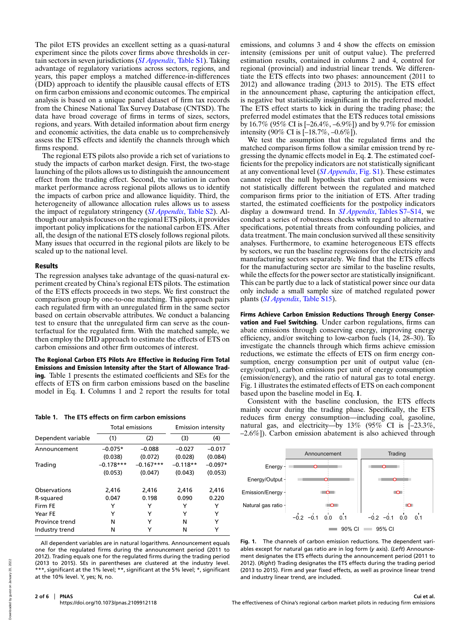The pilot ETS provides an excellent setting as a quasi-natural experiment since the pilots cover firms above thresholds in certain sectors in seven jurisdictions (*[SI Appendix](https://www.pnas.org/lookup/suppl/doi:10.1073/pnas.2109912118/-/DCSupplemental)*, Table S1). Taking advantage of regulatory variations across sectors, regions, and years, this paper employs a matched difference-in-differences (DID) approach to identify the plausible causal effects of ETS on firm carbon emissions and economic outcomes. The empirical analysis is based on a unique panel dataset of firm tax records from the Chinese National Tax Survey Database (CNTSD). The data have broad coverage of firms in terms of sizes, sectors, regions, and years. With detailed information about firm energy and economic activities, the data enable us to comprehensively assess the ETS effects and identify the channels through which firms respond.

The regional ETS pilots also provide a rich set of variations to study the impacts of carbon market design. First, the two-stage launching of the pilots allows us to distinguish the announcement effect from the trading effect. Second, the variation in carbon market performance across regional pilots allows us to identify the impacts of carbon price and allowance liquidity. Third, the heterogeneity of allowance allocation rules allows us to assess the impact of regulatory stringency (*[SI Appendix](https://www.pnas.org/lookup/suppl/doi:10.1073/pnas.2109912118/-/DCSupplemental)*, Table S2). Although our analysis focuses on the regional ETS pilots, it provides important policy implications for the national carbon ETS. After all, the design of the national ETS closely follows regional pilots. Many issues that occurred in the regional pilots are likely to be scaled up to the national level.

### Results

The regression analyses take advantage of the quasi-natural experiment created by China's regional ETS pilots. The estimation of the ETS effects proceeds in two steps. We first construct the comparison group by one-to-one matching. This approach pairs each regulated firm with an unregulated firm in the same sector based on certain observable attributes. We conduct a balancing test to ensure that the unregulated firm can serve as the counterfactual for the regulated firm. With the matched sample, we then employ the DID approach to estimate the effects of ETS on carbon emissions and other firm outcomes of interest.

The Regional Carbon ETS Pilots Are Effective in Reducing Firm Total Emissions and Emission Intensity after the Start of Allowance Trading. Table 1 presents the estimated coefficients and SEs for the effects of ETS on firm carbon emissions based on the baseline model in Eq. **1**. Columns 1 and 2 report the results for total

|  |  | Table 1. The ETS effects on firm carbon emissions |
|--|--|---------------------------------------------------|
|  |  |                                                   |

|                    | <b>Total emissions</b> |             | Emission intensity |           |
|--------------------|------------------------|-------------|--------------------|-----------|
| Dependent variable | (1)                    | (2)         | (3)                | (4)       |
| Announcement       | $-0.075*$              | $-0.088$    | $-0.027$           | $-0.017$  |
|                    | (0.038)                | (0.072)     | (0.028)            | (0.084)   |
| Trading            | $-0.178***$            | $-0.167***$ | $-0.118**$         | $-0.097*$ |
|                    | (0.053)                | (0.047)     | (0.043)            | (0.053)   |
| Observations       | 2,416                  | 2,416       | 2.416              | 2.416     |
| R-squared          | 0.047                  | 0.198       | 0.090              | 0.220     |
| Firm FE            | Y                      | Y           | Y                  | Y         |
| Year FE            | Y                      | Y           | Υ                  | Y         |
| Province trend     | N                      | Y           | N                  | Y         |
| Industry trend     | N                      | Y           | N                  | Y         |

All dependent variables are in natural logarithms. Announcement equals one for the regulated firms during the announcement period (2011 to 2012). Trading equals one for the regulated firms during the trading period (2013 to 2015). SEs in parentheses are clustered at the industry level. \*\*\*, significant at the 1% level; \*\*, significant at the 5% level; \*, significant at the 10% level. Y, yes; N, no.

**2 of 6 PNAS** <https://doi.org/10.1073/pnas.2109912118>

emissions, and columns 3 and 4 show the effects on emission intensity (emissions per unit of output value). The preferred estimation results, contained in columns 2 and 4, control for regional (provincial) and industrial linear trends. We differentiate the ETS effects into two phases: announcement (2011 to 2012) and allowance trading (2013 to 2015). The ETS effect in the announcement phase, capturing the anticipation effect, is negative but statistically insignificant in the preferred model. The ETS effect starts to kick in during the trading phase; the preferred model estimates that the ETS reduces total emissions by 16.7% (95% CI is [–26.4%, –6.9%]) and by 9.7% for emission intensity (90% CI is  $[-18.7\%, -0.6\%]$ ).

We test the assumption that the regulated firms and the matched comparison firms follow a similar emission trend by regressing the dynamic effects model in Eq. **2**. The estimated coefficients for the prepolicy indicators are not statistically significant at any conventional level (*[SI Appendix](https://www.pnas.org/lookup/suppl/doi:10.1073/pnas.2109912118/-/DCSupplemental)*, Fig. S1). These estimates cannot reject the null hypothesis that carbon emissions were not statistically different between the regulated and matched comparison firms prior to the initiation of ETS. After trading started, the estimated coefficients for the postpolicy indicators display a downward trend. In *[SI Appendix](https://www.pnas.org/lookup/suppl/doi:10.1073/pnas.2109912118/-/DCSupplemental)*[, Tables S7–S14,](https://www.pnas.org/lookup/suppl/doi:10.1073/pnas.2109912118/-/DCSupplemental) we conduct a series of robustness checks with regard to alternative specifications, potential threats from confounding policies, and data treatment. The main conclusion survived all these sensitivity analyses. Furthermore, to examine heterogeneous ETS effects by sectors, we run the baseline regressions for the electricity and manufacturing sectors separately. We find that the ETS effects for the manufacturing sector are similar to the baseline results, while the effects for the power sector are statistically insignificant. This can be partly due to a lack of statistical power since our data only include a small sample size of matched regulated power plants (*[SI Appendix](https://www.pnas.org/lookup/suppl/doi:10.1073/pnas.2109912118/-/DCSupplemental)*, Table S15).

Firms Achieve Carbon Emission Reductions Through Energy Conservation and Fuel Switching. Under carbon regulations, firms can abate emissions through conserving energy, improving energy efficiency, and/or switching to low-carbon fuels (14, 28–30). To investigate the channels through which firms achieve emission reductions, we estimate the effects of ETS on firm energy consumption, energy consumption per unit of output value (energy/output), carbon emissions per unit of energy consumption (emission/energy), and the ratio of natural gas to total energy. Fig. 1 illustrates the estimated effects of ETS on each component based upon the baseline model in Eq. **1**.

Consistent with the baseline conclusion, the ETS effects mainly occur during the trading phase. Specifically, the ETS reduces firm energy consumption—including coal, gasoline, natural gas, and electricity—by 13% (95% CI is [–23.3%, –2.6%]). Carbon emission abatement is also achieved through



**Fig. 1.** The channels of carbon emission reductions. The dependent variables except for natural gas ratio are in log form (*y* axis). (*Left*) Announcement designates the ETS effects during the announcement period (2011 to 2012). (*Right*) Trading designates the ETS effects during the trading period (2013 to 2015). Firm and year fixed effects, as well as province linear trend and industry linear trend, are included.

 $2000$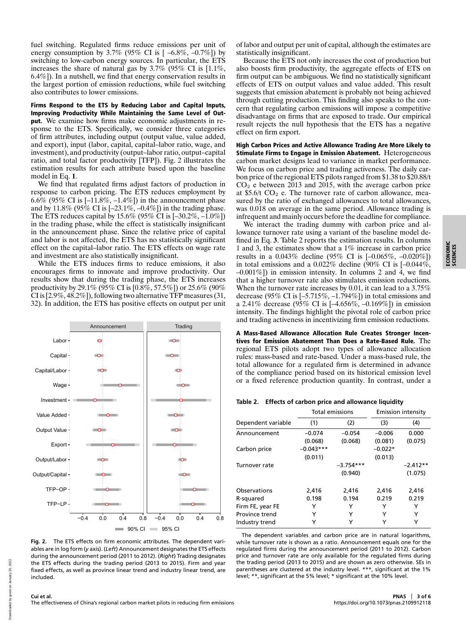fuel switching. Regulated firms reduce emissions per unit of energy consumption by 3.7% (95% CI is  $[-6.8\%, -0.7\%]$ ) by switching to low-carbon energy sources. In particular, the ETS increases the share of natural gas by 3.7% (95% CI is [1.1%, 6.4%]). In a nutshell, we find that energy conservation results in the largest portion of emission reductions, while fuel switching also contributes to lower emissions.

Firms Respond to the ETS by Reducing Labor and Capital Inputs, Improving Productivity While Maintaining the Same Level of Output. We examine how firms make economic adjustments in response to the ETS. Specifically, we consider three categories of firm attributes, including output (output value, value added, and export), input (labor, capital, capital–labor ratio, wage, and investment), and productivity (output–labor ratio, output–capital ratio, and total factor productivity [TFP]). Fig. 2 illustrates the estimation results for each attribute based upon the baseline model in Eq. **1**.

We find that regulated firms adjust factors of production in response to carbon pricing. The ETS reduces employment by 6.6% (95% CI is  $[-11.8\%, -1.4\%]$ ) in the announcement phase and by 11.8% (95% CI is [–23.1%, –0.4%]) in the trading phase. The ETS reduces capital by  $15.6\%$  (95% CI is  $[-30.2\%, -1.0\%]$ ) in the trading phase, while the effect is statistically insignificant in the announcement phase. Since the relative price of capital and labor is not affected, the ETS has no statistically significant effect on the capital–labor ratio. The ETS effects on wage rate and investment are also statistically insignificant.

While the ETS induces firms to reduce emissions, it also encourages firms to innovate and improve productivity. Our results show that during the trading phase, the ETS increases productivity by 29.1% (95% CI is  $[0.\overline{8}\%, 57.5\%]$ ) or 25.6% (90% CI is [2.9%, 48.2%]), following two alternative TFP measures (31, 32). In addition, the ETS has positive effects on output per unit



**Fig. 2.** The ETS effects on firm economic attributes. The dependent variables are in log form (*y* axis). (*Left*) Announcement designates the ETS effects during the announcement period (2011 to 2012). (*Right*) Trading designates the ETS effects during the trading period (2013 to 2015). Firm and year fixed effects, as well as province linear trend and industry linear trend, are included.

of labor and output per unit of capital, although the estimates are statistically insignificant.

Because the ETS not only increases the cost of production but also boosts firm productivity, the aggregate effects of ETS on firm output can be ambiguous. We find no statistically significant effects of ETS on output values and value added. This result suggests that emission abatement is probably not being achieved through cutting production. This finding also speaks to the concern that regulating carbon emissions will impose a competitive disadvantage on firms that are exposed to trade. Our empirical result rejects the null hypothesis that the ETS has a negative effect on firm export.

High Carbon Prices and Active Allowance Trading Are More Likely to Stimulate Firms to Engage in Emission Abatement. Heterogeneous carbon market designs lead to variance in market performance. We focus on carbon price and trading activeness. The daily carbon price of the regional ETS pilots ranged from \$1.38 to \$20.88/t  $CO<sub>2</sub>$  e between 2013 and 2015, with the average carbon price at \$5.6/t  $CO<sub>2</sub>$  e. The turnover rate of carbon allowance, measured by the ratio of exchanged allowances to total allowances, was 0.018 on average in the same period. Allowance trading is infrequent and mainly occurs before the deadline for compliance.

We interact the trading dummy with carbon price and allowance turnover rate using a variant of the baseline model defined in Eq. **3**. Table 2 reports the estimation results. In columns 1 and 3, the estimates show that a 1% increase in carbon price results in a 0.043% decline (95% CI is [–0.065%, –0.020%]) in total emissions and a  $0.022\%$  decline (90% CI is  $[-0.044\%]$ ,  $-0.001\%$ ]) in emission intensity. In columns 2 and 4, we find that a higher turnover rate also stimulates emission reductions. When the turnover rate increases by 0.01, it can lead to a 3.75% decrease (95% CI is  $[-5.715\%, -1.794\%]$ ) in total emissions and a 2.41% decrease (95% CI is [–4.656%, –0.169%]) in emission intensity. The findings highlight the pivotal role of carbon price and trading activeness in incentivizing firm emission reductions.

A Mass-Based Allowance Allocation Rule Creates Stronger Incentives for Emission Abatement Than Does a Rate-Based Rule. The regional ETS pilots adopt two types of allowance allocation rules: mass-based and rate-based. Under a mass-based rule, the total allowance for a regulated firm is determined in advance of the compliance period based on its historical emission level or a fixed reference production quantity. In contrast, under a

**Table 2. Effects of carbon price and allowance liquidity**

|                    | <b>Total emissions</b> |             | Emission intensity |            |
|--------------------|------------------------|-------------|--------------------|------------|
| Dependent variable | (1)                    | (2)         | (3)                | (4)        |
| Announcement       | $-0.074$               | $-0.054$    | $-0.006$           | 0.000      |
|                    | (0.068)                | (0.068)     | (0.081)            | (0.075)    |
| Carbon price       | $-0.043***$            |             | $-0.022*$          |            |
|                    | (0.011)                |             | (0.013)            |            |
| Turnover rate      |                        | $-3.754***$ |                    | $-2.412**$ |
|                    |                        | (0.940)     |                    | (1.075)    |
| Observations       | 2,416                  | 2,416       | 2,416              | 2,416      |
| R-squared          | 0.198                  | 0.194       | 0.219              | 0.219      |
| Firm FE, year FE   | Y                      | Y           | Y                  | Y          |
| Province trend     | Y                      | Υ           | Y                  | Y          |
| Industry trend     | Y                      | Y           | Y                  | Y          |

The dependent variables and carbon price are in natural logarithms, while turnover rate is shown as a ratio. Announcement equals one for the regulated firms during the announcement period (2011 to 2012). Carbon price and turnover rate are only available for the regulated firms during the trading period (2013 to 2015) and are shown as zero otherwise. SEs in parentheses are clustered at the industry level. \*\*\*, significant at the 1% level; \*\*, significant at the 5% level; \* significant at the 10% level.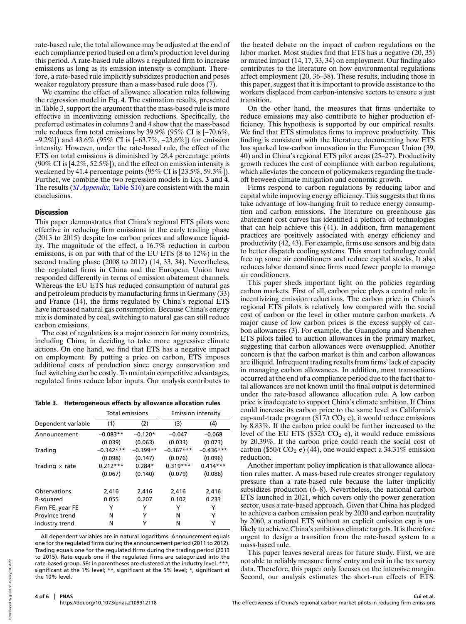rate-based rule, the total allowance may be adjusted at the end of each compliance period based on a firm's production level during this period. A rate-based rule allows a regulated firm to increase emissions as long as its emission intensity is compliant. Therefore, a rate-based rule implicitly subsidizes production and poses weaker regulatory pressure than a mass-based rule does (7).

We examine the effect of allowance allocation rules following the regression model in Eq. **4**. The estimation results, presented in Table 3, support the argument that the mass-based rule is more effective in incentivizing emission reductions. Specifically, the preferred estimates in columns 2 and 4 show that the mass-based rule reduces firm total emissions by 39.9% (95% CI is [–70.6%,  $-9.2\%$ ]) and 43.6% (95% CI is  $[-63.7\%, -23.6\%]$ ) for emission intensity. However, under the rate-based rule, the effect of the ETS on total emissions is diminished by 28.4 percentage points  $(90\% \text{ CI} \text{ is } [4.2\%, 52.5\%])$ , and the effect on emission intensity is weakened by 41.4 percentage points (95% CI is [23.5%, 59.3%]). Further, we combine the two regression models in Eqs. **3** and **4**. The results (*[SI Appendix](https://www.pnas.org/lookup/suppl/doi:10.1073/pnas.2109912118/-/DCSupplemental)*, Table S16) are consistent with the main conclusions.

## Discussion

This paper demonstrates that China's regional ETS pilots were effective in reducing firm emissions in the early trading phase (2013 to 2015) despite low carbon prices and allowance liquidity. The magnitude of the effect, a 16.7% reduction in carbon emissions, is on par with that of the EU ETS (8 to 12%) in the second trading phase (2008 to 2012) (14, 33, 34). Nevertheless, the regulated firms in China and the European Union have responded differently in terms of emission abatement channels. Whereas the EU ETS has reduced consumption of natural gas and petroleum products by manufacturing firms in Germany (33) and France (14), the firms regulated by China's regional ETS have increased natural gas consumption. Because China's energy mix is dominated by coal, switching to natural gas can still reduce carbon emissions.

The cost of regulations is a major concern for many countries, including China, in deciding to take more aggressive climate actions. On one hand, we find that ETS has a negative impact on employment. By putting a price on carbon, ETS imposes additional costs of production since energy conservation and fuel switching can be costly. To maintain competitive advantages, regulated firms reduce labor inputs. Our analysis contributes to

**Table 3. Heterogeneous effects by allowance allocation rules**

|                       | <b>Total emissions</b> |            | Emission intensity |             |
|-----------------------|------------------------|------------|--------------------|-------------|
| Dependent variable    | (1)                    | (2)        | (3)                | (4)         |
| Announcement          | $-0.083**$             | $-0.120*$  | $-0.047$           | $-0.068$    |
|                       | (0.039)                | (0.063)    | (0.033)            | (0.073)     |
| Trading               | $-0.342***$            | $-0.399**$ | $-0.367***$        | $-0.436***$ |
|                       | (0.098)                | (0.147)    | (0.076)            | (0.096)     |
| Trading $\times$ rate | $0.212***$             | $0.284*$   | $0.319***$         | $0.414***$  |
|                       | (0.067)                | (0.140)    | (0.079)            | (0.086)     |
| Observations          | 2,416                  | 2,416      | 2,416              | 2,416       |
| R-squared             | 0.055                  | 0.207      | 0.102              | 0.233       |
| Firm FE, year FE      | Y                      | Y          | Y                  | Y           |
| Province trend        | N                      | Υ          | N                  | Y           |
| Industry trend        | N                      | Y          | N                  | Y           |

All dependent variables are in natural logarithms. Announcement equals one for the regulated firms during the announcement period (2011 to 2012). Trading equals one for the regulated firms during the trading period (2013 to 2015). Rate equals one if the regulated firms are categorized into the rate-based group. SEs in parentheses are clustered at the industry level. \*\*\* significant at the 1% level; \*\*, significant at the 5% level; \*, significant at the 10% level.

the heated debate on the impact of carbon regulations on the labor market. Most studies find that ETS has a negative (20, 35) or muted impact (14, 17, 33, 34) on employment. Our finding also contributes to the literature on how environmental regulations affect employment (20, 36–38). These results, including those in this paper, suggest that it is important to provide assistance to the workers displaced from carbon-intensive sectors to ensure a just transition.

On the other hand, the measures that firms undertake to reduce emissions may also contribute to higher production efficiency. This hypothesis is supported by our empirical results. We find that ETS stimulates firms to improve productivity. This finding is consistent with the literature documenting how ETS has sparked low-carbon innovation in the European Union (39, 40) and in China's regional ETS pilot areas (25–27). Productivity growth reduces the cost of compliance with carbon regulations, which alleviates the concern of policymakers regarding the tradeoff between climate mitigation and economic growth.

Firms respond to carbon regulations by reducing labor and capital while improving energy efficiency. This suggests that firms take advantage of low-hanging fruit to reduce energy consumption and carbon emissions. The literature on greenhouse gas abatement cost curves has identified a plethora of technologies that can help achieve this (41). In addition, firm management practices are positively associated with energy efficiency and productivity (42, 43). For example, firms use sensors and big data to better dispatch cooling systems. This smart technology could free up some air conditioners and reduce capital stocks. It also reduces labor demand since firms need fewer people to manage air conditioners.

This paper sheds important light on the policies regarding carbon markets. First of all, carbon price plays a central role in incentivizing emission reductions. The carbon price in China's regional ETS pilots is relatively low compared with the social cost of carbon or the level in other mature carbon markets. A major cause of low carbon prices is the excess supply of carbon allowances (3). For example, the Guangdong and Shenzhen ETS pilots failed to auction allowances in the primary market, suggesting that carbon allowances were oversupplied. Another concern is that the carbon market is thin and carbon allowances are illiquid. Infrequent trading results from firms' lack of capacity in managing carbon allowances. In addition, most transactions occurred at the end of a compliance period due to the fact that total allowances are not known until the final output is determined under the rate-based allowance allocation rule. A low carbon price is inadequate to support China's climate ambition. If China could increase its carbon price to the same level as California's cap-and-trade program ( $$17/t$  CO<sub>2</sub> e), it would reduce emissions by 8.83%. If the carbon price could be further increased to the level of the EU ETS ( $$32/t$  CO<sub>2</sub> e), it would reduce emissions by 20.39%. If the carbon price could reach the social cost of carbon (\$50/t CO<sub>2</sub> e) (44), one would expect a  $34.31\%$  emission reduction.

Another important policy implication is that allowance allocation rules matter. A mass-based rule creates stronger regulatory pressure than a rate-based rule because the latter implicitly subsidizes production (6–8). Nevertheless, the national carbon ETS launched in 2021, which covers only the power generation sector, uses a rate-based approach. Given that China has pledged to achieve a carbon emission peak by 2030 and carbon neutrality by 2060, a national ETS without an explicit emission cap is unlikely to achieve China's ambitious climate targets. It is therefore urgent to design a transition from the rate-based system to a mass-based rule.

This paper leaves several areas for future study. First, we are not able to reliably measure firms' entry and exit in the tax survey data. Therefore, this paper only focuses on the intensive margin. Second, our analysis estimates the short-run effects of ETS.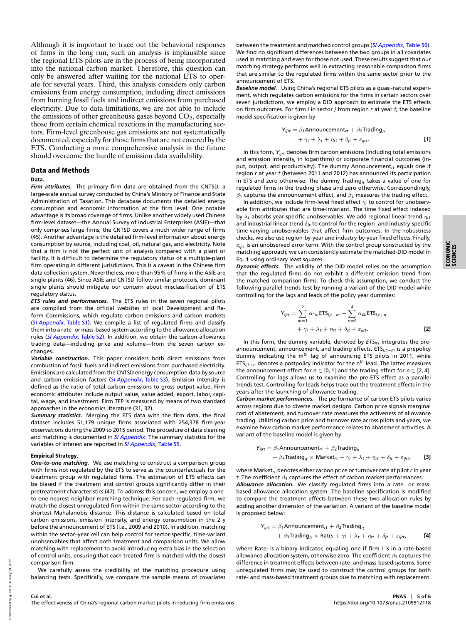Although it is important to trace out the behavioral responses of firms in the long run, such an analysis is implausible since the regional ETS pilots are in the process of being incorporated into the national carbon market. Therefore, this question can only be answered after waiting for the national ETS to operate for several years. Third, this analysis considers only carbon emissions from energy consumption, including direct emissions from burning fossil fuels and indirect emissions from purchased electricity. Due to data limitations, we are not able to include the emissions of other greenhouse gases beyond  $CO<sub>2</sub>$ , especially those from certain chemical reactions in the manufacturing sectors. Firm-level greenhouse gas emissions are not systematically documented, especially for those firms that are not covered by the ETS. Conducting a more comprehensive analysis in the future should overcome the hurdle of emission data availability.

#### Data and Methods

#### Data.

*Firm attributes.* The primary firm data are obtained from the CNTSD, a large-scale annual survey conducted by China's Ministry of Finance and State Administration of Taxation. This database documents the detailed energy consumption and economic information at the firm level. One notable advantage is its broad coverage of firms. Unlike another widely used Chinese firm-level dataset—the Annual Survey of Industrial Enterprises (ASIE)—that only comprises large firms, the CNTSD covers a much wider range of firms (45). Another advantage is the detailed firm-level information about energy consumption by source, including coal, oil, natural gas, and electricity. Note that a firm is not the perfect unit of analysis compared with a plant or facility. It is difficult to determine the regulatory status of a multiple-plant firm operating in different jurisdictions. This is a caveat in the Chinese firm data collection system. Nevertheless, more than 95% of firms in the ASIE are single plants (46). Since ASIE and CNTSD follow similar protocols, dominant single plants should mitigate our concern about misclassification of ETS regulatory status.

*ETS rules and performances.* The ETS rules in the seven regional pilots are compiled from the official websites of local Development and Reform Commissions, which regulate carbon emissions and carbon markets (*[SI Appendix](https://www.pnas.org/lookup/suppl/doi:10.1073/pnas.2109912118/-/DCSupplemental)*, [Table S1\)](https://www.pnas.org/lookup/suppl/doi:10.1073/pnas.2109912118/-/DCSupplemental). We compile a list of regulated firms and classify them into a rate- or mass-based system according to the allowance allocation rules (*[SI Appendix](https://www.pnas.org/lookup/suppl/doi:10.1073/pnas.2109912118/-/DCSupplemental)*, Table S2). In addition, we obtain the carbon allowance trading data—including price and volume—from the seven carbon exchanges.

*Variable construction.* This paper considers both direct emissions from combustion of fossil fuels and indirect emissions from purchased electricity. Emissions are calculated from the CNTSD energy consumption data by source and carbon emission factors (*[SI Appendix](https://www.pnas.org/lookup/suppl/doi:10.1073/pnas.2109912118/-/DCSupplemental)*, Table S3). Emission intensity is defined as the ratio of total carbon emissions to gross output value. Firm economic attributes include output value, value added, export, labor, capital, wage, and investment. Firm TFP is measured by means of two standard approaches in the economics literature (31, 32).

*Summary statistics.* Merging the ETS data with the firm data, the final dataset includes 51,179 unique firms associated with 254,378 firm-year observations during the 2009 to 2015 period. The procedure of data cleaning and matching is documented in *[SI Appendix](https://www.pnas.org/lookup/suppl/doi:10.1073/pnas.2109912118/-/DCSupplemental)*. The summary statistics for the variables of interest are reported in *[SI Appendix](https://www.pnas.org/lookup/suppl/doi:10.1073/pnas.2109912118/-/DCSupplemental)*, Table S5.

#### Empirical Strategy.

*One-to-one matching.* We use matching to construct a comparison group with firms not regulated by the ETS to serve as the counterfactuals for the treatment group with regulated firms. The estimation of ETS effects can be biased if the treatment and control groups significantly differ in their pretreatment characteristics (47). To address this concern, we employ a oneto-one nearest neighbor matching technique. For each regulated firm, we match the closest unregulated firm within the same sector according to the shortest Mahalanobis distance. This distance is calculated based on total carbon emissions, emission intensity, and energy consumption in the 2 y before the announcement of ETS (i.e., 2009 and 2010). In addition, matching within the sector–year cell can help control for sector-specific, time-variant unobservables that affect both treatment and comparison units. We allow matching with replacement to avoid introducing extra bias in the selection of control units, ensuring that each treated firm is matched with the closest comparison firm.

We carefully assess the credibility of the matching procedure using balancing tests. Specifically, we compare the sample means of covariates between the treatment and matched control groups (*[SI Appendix](https://www.pnas.org/lookup/suppl/doi:10.1073/pnas.2109912118/-/DCSupplemental)*, Table S6). We find no significant differences between the two groups in all covariates used in matching and even for those not used. These results suggest that our matching strategy performs well in extracting reasonable comparison firms that are similar to the regulated firms within the same sector prior to the announcement of ETS.

*Baseline model.* Using China's regional ETS pilots as a quasi-natural experiment, which regulates carbon emissions for the firms in certain sectors over seven jurisdictions, we employ a DID approach to estimate the ETS effects on firm outcomes. For firm *i* in sector *j* from region *r* at year *t*, the baseline model specification is given by

$$
Y_{ijrt} = \beta_1 \text{Announcement}_{rt} + \beta_2 \text{Trading}_{it}
$$
  
+  $\gamma_i + \lambda_t + \eta_{rt} + \delta_{jt} + \varepsilon_{ijrt}.$  [1]

In this form, *Yijrt* denotes firm carbon emissions (including total emissions and emission intensity, in logarithms) or corporate financial outcomes (input, output, and productivity). The dummy Announcement<sub>rt</sub> equals one if region *r* at year *t* (between 2011 and 2012) has announced its participation in ETS and zero otherwise. The dummy Trading<sub>it</sub> takes a value of one for regulated firms in the trading phase and zero otherwise. Correspondingly,  $\beta_1$  captures the announcement effect, and  $\beta_2$  measures the trading effect.

In addition, we include firm-level fixed effect γ*<sup>i</sup>* to control for unobservable firm attributes that are time-invariant. The time fixed effect indexed by  $\lambda_t$  absorbs year-specific unobservables. We add regional linear trend  $\eta_{rt}$ and industrial linear trend  $\delta_{jt}$  to control for the region- and industry-specific time-varying unobservables that affect firm outcomes. In the robustness checks, we also use region-by-year and industry-by-year fixed effects. Finally,  $\varepsilon_{i}$  is an unobserved error term. With the control group constructed by the matching approach, we can consistently estimate the matched-DID model in Eq. **1** using ordinary least squares.

*Dynamic effects.* The validity of the DID model relies on the assumption that the regulated firms do not exhibit a different emission trend from the matched comparison firms. To check this assumption, we conduct the following parallel trends test by running a variant of the DID model while controlling for the lags and leads of the policy year dummies:

$$
Y_{ijrt} = \sum_{m=1}^{2} \alpha_{1m} ETS_{i,t-m} + \sum_{n=0}^{4} \alpha_{2n} ETS_{i,t+n}
$$
  
+  $\gamma_i + \lambda_t + \eta_{rt} + \delta_{jt} + \varepsilon_{ijrt}$ . [2]

In this form, the dummy variable, denoted by  $ETS_{it}$ , integrates the preannouncement, announcement, and trading effects. ETS*i*,*t*−*<sup>m</sup>* is a prepolicy dummy indicating the m*th* lag of announcing ETS pilots in 2011, while  $ETS_{i,t+n}$  denotes a postpolicy indicator for the  $n^{th}$  lead. The latter measures the announcement effect for  $n \in [0, 1]$  and the trading effect for  $n \in [2, 4]$ . Controlling for lags allows us to examine the pre-ETS effect as a parallel trends test. Controlling for leads helps trace out the treatment effects in the years after the launching of allowance trading.

*Carbon market performances.* The performance of carbon ETS pilots varies across regions due to diverse market designs. Carbon price signals marginal cost of abatement, and turnover rate measures the activeness of allowance trading. Utilizing carbon price and turnover rate across pilots and years, we examine how carbon market performance relates to abatement activities. A variant of the baseline model is given by

$$
Y_{ijrt} = \beta_1 \text{Announcement}_{rt} + \beta_2 \text{Trading}_{it}
$$
  
+ 
$$
\beta_3 \text{Trading}_{it} \times \text{Market}_{rt} + \gamma_i + \lambda_t + \eta_{rt} + \delta_{jt} + \varepsilon_{ijrt},
$$
 [3]

where Market*rt* denotes either carbon price or turnover rate at pilot *r* in year *t*. The coefficient  $\beta_3$  captures the effect of carbon market performances.

*Allowance allocation.* We classify regulated firms into a rate- or massbased allowance allocation system. The baseline specification is modified to compare the treatment effects between these two allocation rules by adding another dimension of the variation. A variant of the baseline model is proposed below:

$$
Y_{ijrt} = \beta_1 \text{Announcement}_{rt} + \beta_2 \text{Trading}_{it}
$$
  
+  $\beta_3 \text{Trading}_{it} \times \text{Rate}_{i} + \gamma_i + \lambda_t + \eta_{rt} + \delta_{jt} + \varepsilon_{ijrt}$ , [4]

where Rate*<sup>i</sup>* is a binary indicator, equaling one if firm *i* is in a rate-based allowance allocation system, otherwise zero. The coefficient  $\beta_3$  captures the difference in treatment effects between rate- and mass-based systems. Some unregulated firms may be used to construct the control groups for both rate- and mass-based treatment groups due to matching with replacement.

**Cui et al.**